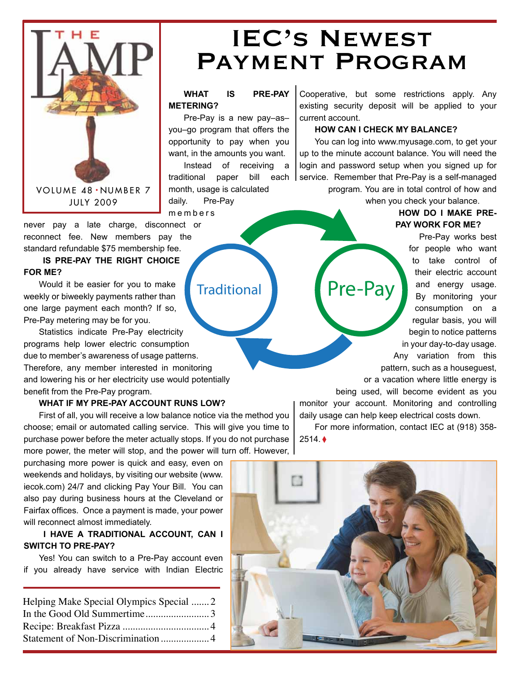

## IEC's Newest Payment Program

#### **WHAT IS PRE-PAY METERING?**

Pre-Pay is a new pay–as– you–go program that offers the opportunity to pay when you want, in the amounts you want. Instead of receiving a traditional paper bill each month, usage is calculated daily. Pre-Pay m e m b e r s

never pay a late charge, disconnect or reconnect fee. New members pay the standard refundable \$75 membership fee.

### **IS PRE-PAY THE RIGHT CHOICE FOR ME?**

Would it be easier for you to make weekly or biweekly payments rather than one large payment each month? If so, Pre-Pay metering may be for you.

Statistics indicate Pre-Pay electricity programs help lower electric consumption due to member's awareness of usage patterns. Therefore, any member interested in monitoring and lowering his or her electricity use would potentially benefit from the Pre-Pay program.

### **WHAT IF MY PRE-PAY ACCOUNT RUNS LOW?**

First of all, you will receive a low balance notice via the method you choose; email or automated calling service. This will give you time to purchase power before the meter actually stops. If you do not purchase more power, the meter will stop, and the power will turn off. However,

purchasing more power is quick and easy, even on weekends and holidays, by visiting our website (www. iecok.com) 24/7 and clicking Pay Your Bill. You can also pay during business hours at the Cleveland or Fairfax offices. Once a payment is made, your power will reconnect almost immediately.

### **I HAVE A TRADITIONAL ACCOUNT, CAN I SWITCH TO PRE-PAY?**

Yes! You can switch to a Pre-Pay account even if you already have service with Indian Electric

| Helping Make Special Olympics Special  2 |  |
|------------------------------------------|--|
|                                          |  |
|                                          |  |
|                                          |  |
|                                          |  |

Traditional Pre-Pay

Cooperative, but some restrictions apply. Any existing security deposit will be applied to your current account.

#### **HOW CAN I CHECK MY BALANCE?**

You can log into www.myusage.com, to get your up to the minute account balance. You will need the login and password setup when you signed up for service. Remember that Pre-Pay is a self-managed program. You are in total control of how and

when you check your balance.

### **HOW DO I MAKE PRE-PAY WORK FOR ME?**

Pre-Pay works best for people who want to take control of their electric account and energy usage. By monitoring your consumption on a regular basis, you will begin to notice patterns in your day-to-day usage. Any variation from this pattern, such as a houseguest, or a vacation where little energy is

being used, will become evident as you

monitor your account. Monitoring and controlling daily usage can help keep electrical costs down.

For more information, contact IEC at (918) 358- 2514. ◊

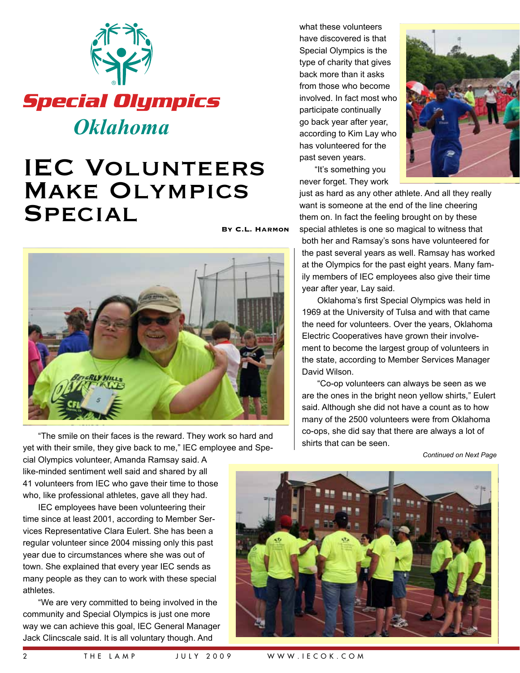

## IEC Volunteers Make Olympics **SPECIAL**

**By C.L. Harmon**



The smile on their faces is the reward. They work so hard and  $\begin{bmatrix} 6 & 1 \end{bmatrix}$  shirts that can be seen. yet with their smile, they give back to me," IEC employee and Spe-

what these volunteers have discovered is that Special Olympics is the type of charity that gives back more than it asks from those who become involved. In fact most who participate continually go back year after year, according to Kim Lay who has volunteered for the past seven years.

"It's something you never forget. They work



just as hard as any other athlete. And all they really want is someone at the end of the line cheering them on. In fact the feeling brought on by these special athletes is one so magical to witness that

both her and Ramsay's sons have volunteered for the past several years as well. Ramsay has worked at the Olympics for the past eight years. Many family members of IEC employees also give their time year after year, Lay said.

Oklahoma's first Special Olympics was held in 1969 at the University of Tulsa and with that came the need for volunteers. Over the years, Oklahoma Electric Cooperatives have grown their involvement to become the largest group of volunteers in the state, according to Member Services Manager David Wilson.

"Co-op volunteers can always be seen as we are the ones in the bright neon yellow shirts," Eulert said. Although she did not have a count as to how many of the 2500 volunteers were from Oklahoma co-ops, she did say that there are always a lot of

*Continued on Next Page*

cial Olympics volunteer, Amanda Ramsay said. A like-minded sentiment well said and shared by all 41 volunteers from IEC who gave their time to those who, like professional athletes, gave all they had.

IEC employees have been volunteering their time since at least 2001, according to Member Services Representative Clara Eulert. She has been a regular volunteer since 2004 missing only this past year due to circumstances where she was out of town. She explained that every year IEC sends as many people as they can to work with these special athletes.

"We are very committed to being involved in the community and Special Olympics is just one more way we can achieve this goal, IEC General Manager Jack Clincscale said. It is all voluntary though. And

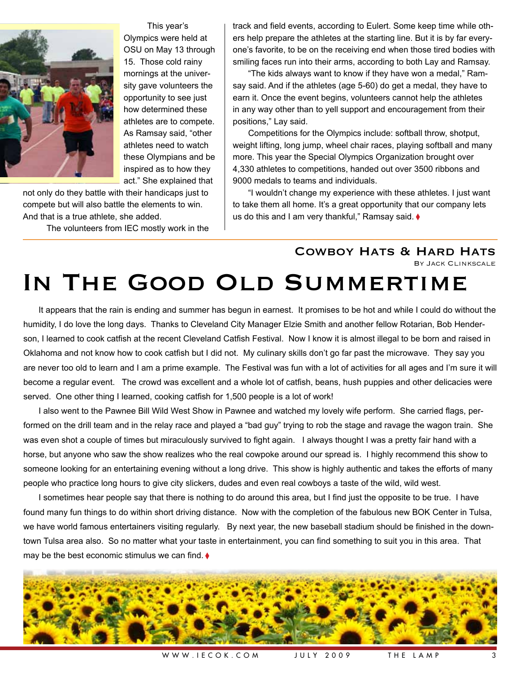

This year's Olympics were held at OSU on May 13 through 15. Those cold rainy mornings at the university gave volunteers the opportunity to see just how determined these athletes are to compete. As Ramsay said, "other athletes need to watch these Olympians and be inspired as to how they act." She explained that

not only do they battle with their handicaps just to compete but will also battle the elements to win. And that is a true athlete, she added.

The volunteers from IEC mostly work in the

track and field events, according to Eulert. Some keep time while others help prepare the athletes at the starting line. But it is by far everyone's favorite, to be on the receiving end when those tired bodies with smiling faces run into their arms, according to both Lay and Ramsay.

"The kids always want to know if they have won a medal," Ramsay said. And if the athletes (age 5-60) do get a medal, they have to earn it. Once the event begins, volunteers cannot help the athletes in any way other than to yell support and encouragement from their positions," Lay said.

Competitions for the Olympics include: softball throw, shotput, weight lifting, long jump, wheel chair races, playing softball and many more. This year the Special Olympics Organization brought over 4,330 athletes to competitions, handed out over 3500 ribbons and 9000 medals to teams and individuals.

"I wouldn't change my experience with these athletes. I just want to take them all home. It's a great opportunity that our company lets us do this and I am very thankful," Ramsay said. ♦

> COWBOY HATS & HARD HATS By Jack Clinkscale

# IN THE GOOD OLD SUMMERTIME

It appears that the rain is ending and summer has begun in earnest. It promises to be hot and while I could do without the humidity, I do love the long days. Thanks to Cleveland City Manager Elzie Smith and another fellow Rotarian, Bob Henderson, I learned to cook catfish at the recent Cleveland Catfish Festival. Now I know it is almost illegal to be born and raised in Oklahoma and not know how to cook catfish but I did not. My culinary skills don't go far past the microwave. They say you are never too old to learn and I am a prime example. The Festival was fun with a lot of activities for all ages and I'm sure it will become a regular event. The crowd was excellent and a whole lot of catfish, beans, hush puppies and other delicacies were served. One other thing I learned, cooking catfish for 1,500 people is a lot of work!

I also went to the Pawnee Bill Wild West Show in Pawnee and watched my lovely wife perform. She carried flags, performed on the drill team and in the relay race and played a "bad guy" trying to rob the stage and ravage the wagon train. She was even shot a couple of times but miraculously survived to fight again. I always thought I was a pretty fair hand with a horse, but anyone who saw the show realizes who the real cowpoke around our spread is. I highly recommend this show to someone looking for an entertaining evening without a long drive. This show is highly authentic and takes the efforts of many people who practice long hours to give city slickers, dudes and even real cowboys a taste of the wild, wild west.

I sometimes hear people say that there is nothing to do around this area, but I find just the opposite to be true. I have found many fun things to do within short driving distance. Now with the completion of the fabulous new BOK Center in Tulsa, we have world famous entertainers visiting regularly. By next year, the new baseball stadium should be finished in the downtown Tulsa area also. So no matter what your taste in entertainment, you can find something to suit you in this area. That may be the best economic stimulus we can find.  $\blacklozenge$